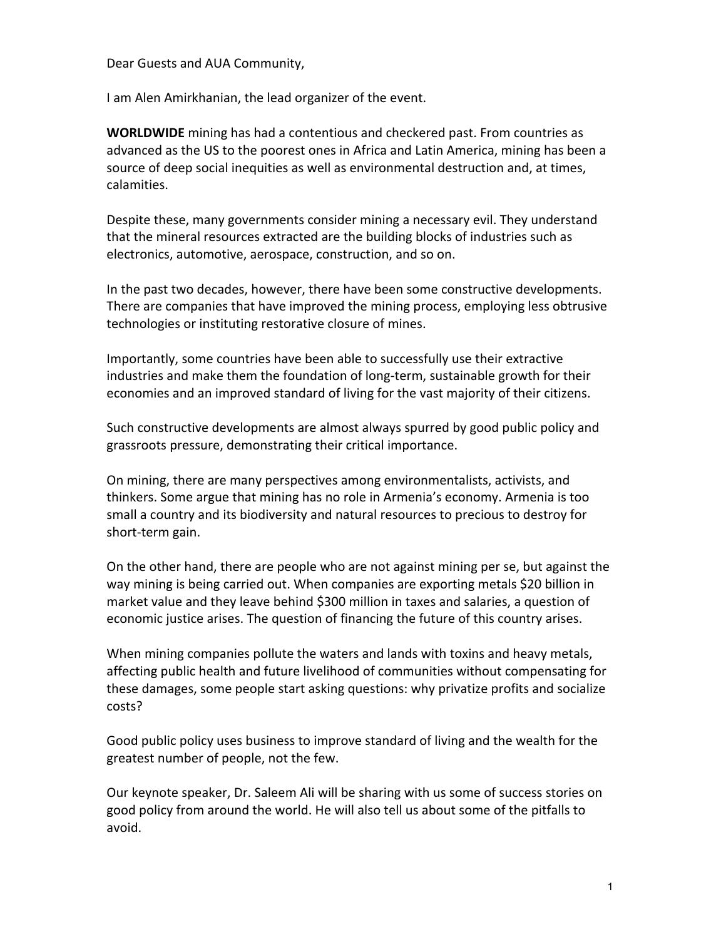Dear Guests and AUA Community,

I am Alen Amirkhanian, the lead organizer of the event.

**WORLDWIDE** mining has had a contentious and checkered past. From countries as advanced as the US to the poorest ones in Africa and Latin America, mining has been a source of deep social inequities as well as environmental destruction and, at times, calamities.

Despite these, many governments consider mining a necessary evil. They understand that the mineral resources extracted are the building blocks of industries such as electronics, automotive, aerospace, construction, and so on.

In the past two decades, however, there have been some constructive developments. There are companies that have improved the mining process, employing less obtrusive technologies or instituting restorative closure of mines.

Importantly, some countries have been able to successfully use their extractive industries and make them the foundation of long-term, sustainable growth for their economies and an improved standard of living for the vast majority of their citizens.

Such constructive developments are almost always spurred by good public policy and grassroots pressure, demonstrating their critical importance.

On mining, there are many perspectives among environmentalists, activists, and thinkers. Some argue that mining has no role in Armenia's economy. Armenia is too small a country and its biodiversity and natural resources to precious to destroy for short-term gain.

On the other hand, there are people who are not against mining per se, but against the way mining is being carried out. When companies are exporting metals \$20 billion in market value and they leave behind \$300 million in taxes and salaries, a question of economic justice arises. The question of financing the future of this country arises.

When mining companies pollute the waters and lands with toxins and heavy metals, affecting public health and future livelihood of communities without compensating for these damages, some people start asking questions: why privatize profits and socialize costs?

Good public policy uses business to improve standard of living and the wealth for the greatest number of people, not the few.

Our keynote speaker, Dr. Saleem Ali will be sharing with us some of success stories on good policy from around the world. He will also tell us about some of the pitfalls to avoid.